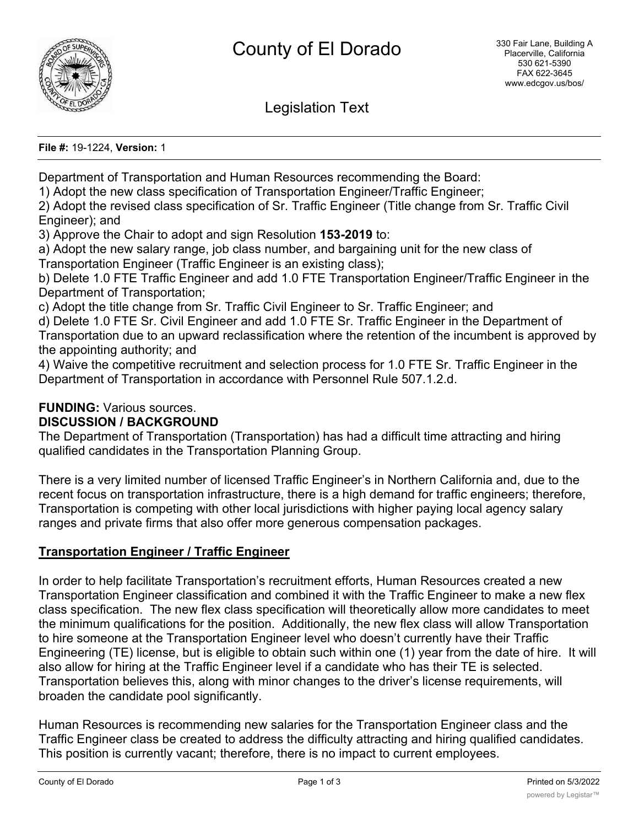

Legislation Text

**File #:** 19-1224, **Version:** 1

Department of Transportation and Human Resources recommending the Board:

1) Adopt the new class specification of Transportation Engineer/Traffic Engineer;

2) Adopt the revised class specification of Sr. Traffic Engineer (Title change from Sr. Traffic Civil Engineer); and

3) Approve the Chair to adopt and sign Resolution **153-2019** to:

a) Adopt the new salary range, job class number, and bargaining unit for the new class of Transportation Engineer (Traffic Engineer is an existing class);

b) Delete 1.0 FTE Traffic Engineer and add 1.0 FTE Transportation Engineer/Traffic Engineer in the Department of Transportation;

c) Adopt the title change from Sr. Traffic Civil Engineer to Sr. Traffic Engineer; and

d) Delete 1.0 FTE Sr. Civil Engineer and add 1.0 FTE Sr. Traffic Engineer in the Department of Transportation due to an upward reclassification where the retention of the incumbent is approved by the appointing authority; and

4) Waive the competitive recruitment and selection process for 1.0 FTE Sr. Traffic Engineer in the Department of Transportation in accordance with Personnel Rule 507.1.2.d.

# **FUNDING:** Various sources.

## **DISCUSSION / BACKGROUND**

The Department of Transportation (Transportation) has had a difficult time attracting and hiring qualified candidates in the Transportation Planning Group.

There is a very limited number of licensed Traffic Engineer's in Northern California and, due to the recent focus on transportation infrastructure, there is a high demand for traffic engineers; therefore, Transportation is competing with other local jurisdictions with higher paying local agency salary ranges and private firms that also offer more generous compensation packages.

## **Transportation Engineer / Traffic Engineer**

In order to help facilitate Transportation's recruitment efforts, Human Resources created a new Transportation Engineer classification and combined it with the Traffic Engineer to make a new flex class specification. The new flex class specification will theoretically allow more candidates to meet the minimum qualifications for the position. Additionally, the new flex class will allow Transportation to hire someone at the Transportation Engineer level who doesn't currently have their Traffic Engineering (TE) license, but is eligible to obtain such within one (1) year from the date of hire. It will also allow for hiring at the Traffic Engineer level if a candidate who has their TE is selected. Transportation believes this, along with minor changes to the driver's license requirements, will broaden the candidate pool significantly.

Human Resources is recommending new salaries for the Transportation Engineer class and the Traffic Engineer class be created to address the difficulty attracting and hiring qualified candidates. This position is currently vacant; therefore, there is no impact to current employees.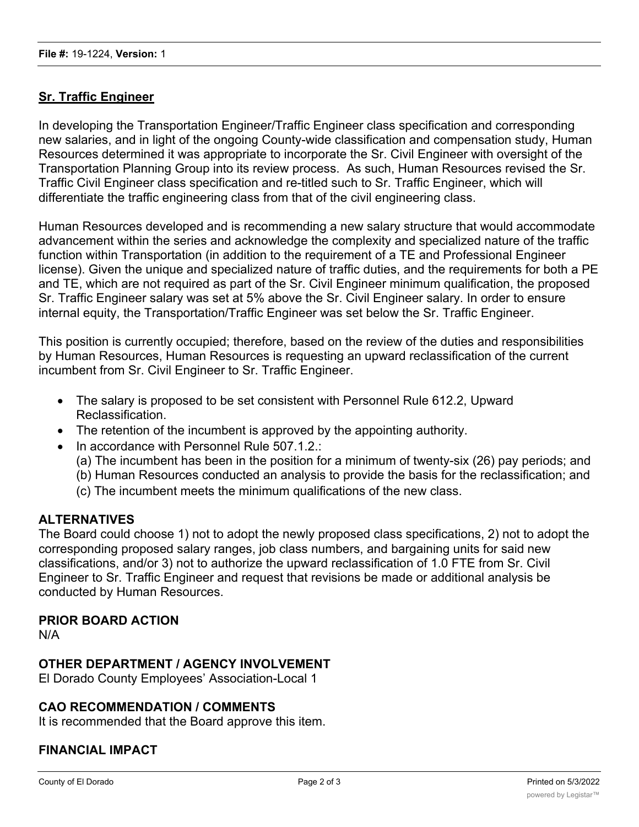# **Sr. Traffic Engineer**

In developing the Transportation Engineer/Traffic Engineer class specification and corresponding new salaries, and in light of the ongoing County-wide classification and compensation study, Human Resources determined it was appropriate to incorporate the Sr. Civil Engineer with oversight of the Transportation Planning Group into its review process. As such, Human Resources revised the Sr. Traffic Civil Engineer class specification and re-titled such to Sr. Traffic Engineer, which will differentiate the traffic engineering class from that of the civil engineering class.

Human Resources developed and is recommending a new salary structure that would accommodate advancement within the series and acknowledge the complexity and specialized nature of the traffic function within Transportation (in addition to the requirement of a TE and Professional Engineer license). Given the unique and specialized nature of traffic duties, and the requirements for both a PE and TE, which are not required as part of the Sr. Civil Engineer minimum qualification, the proposed Sr. Traffic Engineer salary was set at 5% above the Sr. Civil Engineer salary. In order to ensure internal equity, the Transportation/Traffic Engineer was set below the Sr. Traffic Engineer.

This position is currently occupied; therefore, based on the review of the duties and responsibilities by Human Resources, Human Resources is requesting an upward reclassification of the current incumbent from Sr. Civil Engineer to Sr. Traffic Engineer.

- · The salary is proposed to be set consistent with Personnel Rule 612.2, Upward Reclassification.
- The retention of the incumbent is approved by the appointing authority.
- · In accordance with Personnel Rule 507.1.2.:
	- (a) The incumbent has been in the position for a minimum of twenty-six (26) pay periods; and
	- (b) Human Resources conducted an analysis to provide the basis for the reclassification; and
	- (c) The incumbent meets the minimum qualifications of the new class.

## **ALTERNATIVES**

The Board could choose 1) not to adopt the newly proposed class specifications, 2) not to adopt the corresponding proposed salary ranges, job class numbers, and bargaining units for said new classifications, and/or 3) not to authorize the upward reclassification of 1.0 FTE from Sr. Civil Engineer to Sr. Traffic Engineer and request that revisions be made or additional analysis be conducted by Human Resources.

## **PRIOR BOARD ACTION**

N/A

## **OTHER DEPARTMENT / AGENCY INVOLVEMENT**

El Dorado County Employees' Association-Local 1

## **CAO RECOMMENDATION / COMMENTS**

It is recommended that the Board approve this item.

## **FINANCIAL IMPACT**